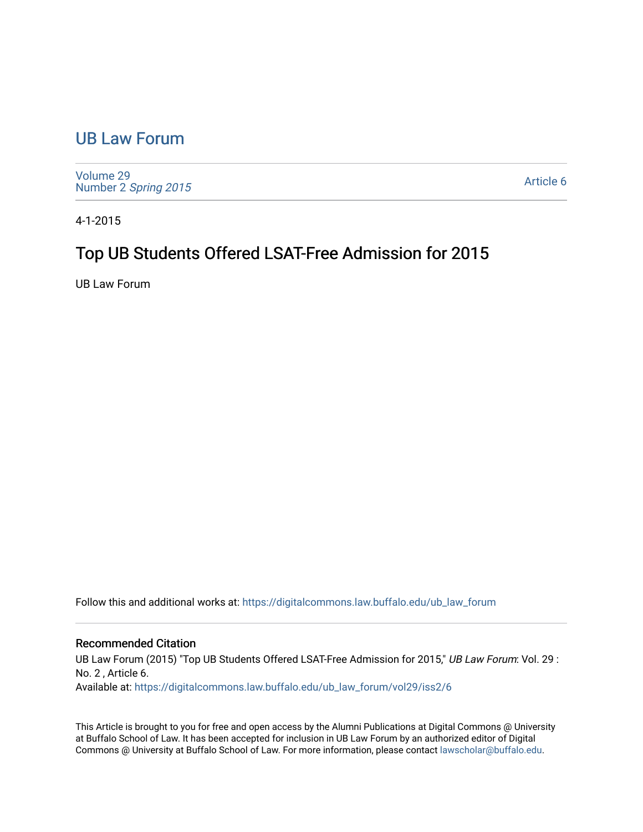## [UB Law Forum](https://digitalcommons.law.buffalo.edu/ub_law_forum)

[Volume 29](https://digitalcommons.law.buffalo.edu/ub_law_forum/vol29) Number 2 [Spring 2015](https://digitalcommons.law.buffalo.edu/ub_law_forum/vol29/iss2) 

[Article 6](https://digitalcommons.law.buffalo.edu/ub_law_forum/vol29/iss2/6) 

4-1-2015

# Top UB Students Offered LSAT-Free Admission for 2015

UB Law Forum

Follow this and additional works at: [https://digitalcommons.law.buffalo.edu/ub\\_law\\_forum](https://digitalcommons.law.buffalo.edu/ub_law_forum?utm_source=digitalcommons.law.buffalo.edu%2Fub_law_forum%2Fvol29%2Fiss2%2F6&utm_medium=PDF&utm_campaign=PDFCoverPages) 

### Recommended Citation

UB Law Forum (2015) "Top UB Students Offered LSAT-Free Admission for 2015," UB Law Forum: Vol. 29 : No. 2 , Article 6. Available at: [https://digitalcommons.law.buffalo.edu/ub\\_law\\_forum/vol29/iss2/6](https://digitalcommons.law.buffalo.edu/ub_law_forum/vol29/iss2/6?utm_source=digitalcommons.law.buffalo.edu%2Fub_law_forum%2Fvol29%2Fiss2%2F6&utm_medium=PDF&utm_campaign=PDFCoverPages)

This Article is brought to you for free and open access by the Alumni Publications at Digital Commons @ University at Buffalo School of Law. It has been accepted for inclusion in UB Law Forum by an authorized editor of Digital Commons @ University at Buffalo School of Law. For more information, please contact [lawscholar@buffalo.edu](mailto:lawscholar@buffalo.edu).